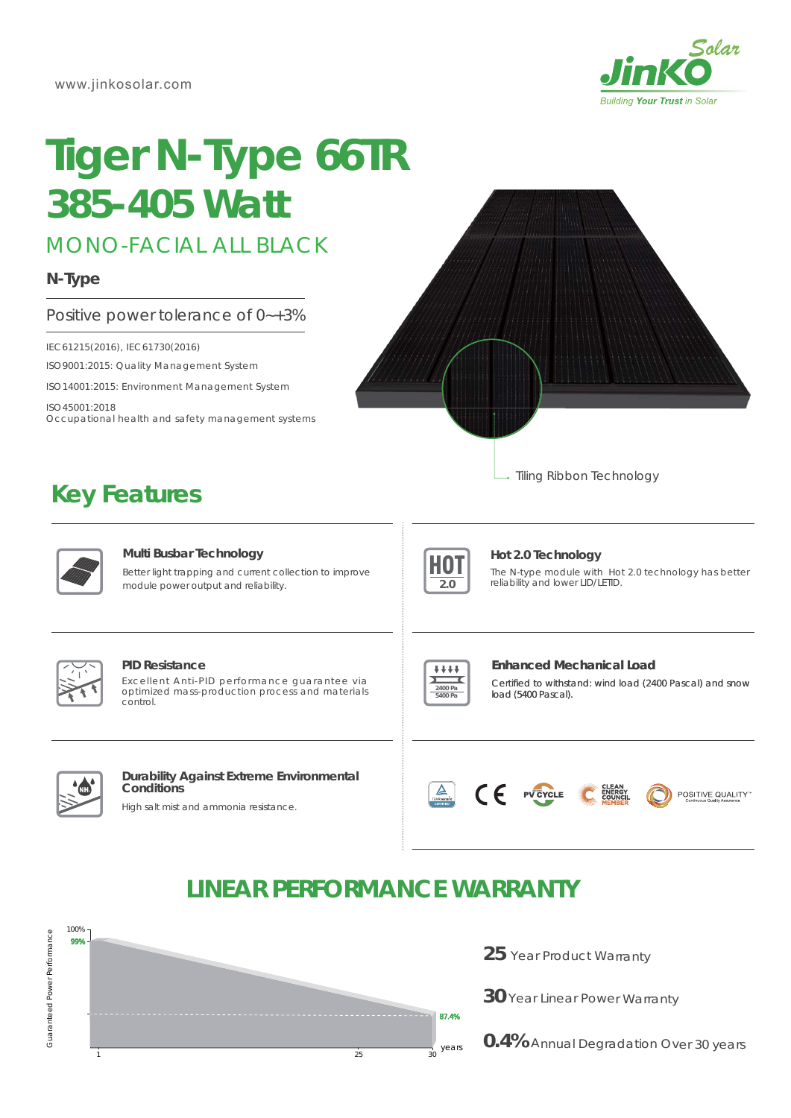

# **Tiger N-Type 66TR** *385-405 Watt*

MONO-FACIAL ALL BLACK

# **N-Type**

# Positive power tolerance of 0~+3%

IEC61215(2016), IEC61730(2016)

**Key Features**

ISO9001:2015: Quality Management System

ISO14001:2015: Environment Management System

ISO45001:2018 Occupational health and safety management systems

Tiling Ribbon Technology



#### **Multi Busbar Technology**

Better light trapping and current collection to improve module power output and reliability.



## **Hot 2.0 Technology**

The N-type module with Hot 2.0 technology has better reliability and lower LID/LETID.



#### **PID Resistance**

Excellent Anti-PID performance guarantee via optimized mass-production process and materials control.



#### **Enhanced Mechanical Load**

Certified to withstand: wind load (2400 Pascal) and snow load (5400 Pascal).



#### **Durability Against Extreme Environmental Conditions**

High salt mist and ammonia resistance.





# **LINEAR PERFORMANCE WARRANTY**



**25** Year Product Warranty

**30** Year Linear Power Warranty

**0.4%** Annual Degradation Over 30 years

Guaranteed Power Performance Guaranteed Power Performance